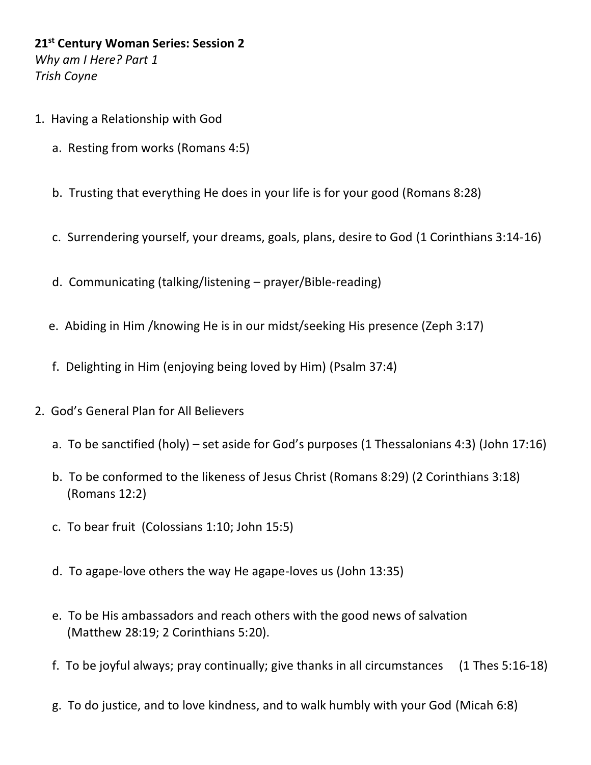**21st Century Woman Series: Session 2** *Why am I Here? Part 1 Trish Coyne*

- 1. Having a Relationship with God
	- a. Resting from works (Romans 4:5)
	- b. Trusting that everything He does in your life is for your good (Romans 8:28)
	- c. Surrendering yourself, your dreams, goals, plans, desire to God (1 Corinthians 3:14-16)
	- d. Communicating (talking/listening prayer/Bible-reading)
	- e. Abiding in Him /knowing He is in our midst/seeking His presence (Zeph 3:17)
	- f. Delighting in Him (enjoying being loved by Him) (Psalm 37:4)
- 2. God's General Plan for All Believers
	- a. To be sanctified (holy) set aside for God's purposes (1 Thessalonians 4:3) (John 17:16)
	- b. To be conformed to the likeness of Jesus Christ (Romans 8:29) (2 Corinthians 3:18) (Romans 12:2)
	- c. To bear fruit (Colossians 1:10; John 15:5)
	- d. To agape-love others the way He agape-loves us (John 13:35)
	- e. To be His ambassadors and reach others with the good news of salvation (Matthew 28:19; 2 Corinthians 5:20).
	- f. To be joyful always; pray continually; give thanks in all circumstances (1 Thes [5:16-18\)](https://biblia.com/bible/esv/1%20Thess%205.16-18)
	- g. To do justice, and to love kindness, and to walk humbly with your God (Micah 6:8)